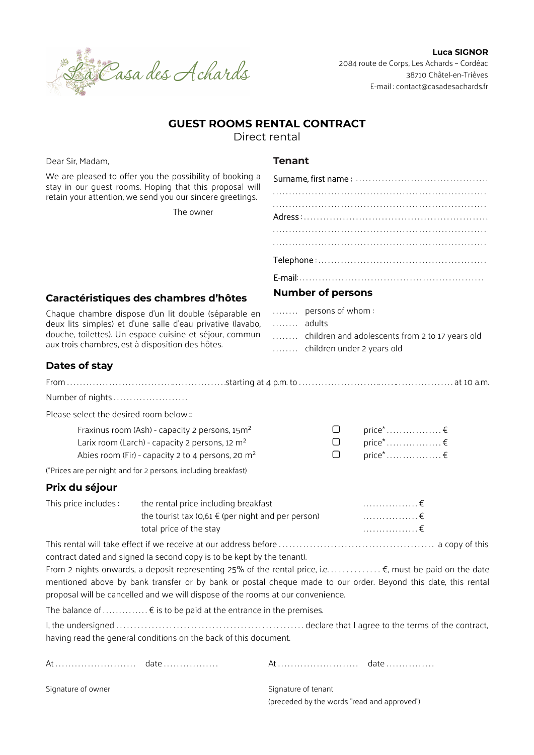

Luca SIGNOR 2084 route de Corps, Les Achards – Cordéac 38710 Châtel-en-Trièves E-mail : contact@casadesachards.fr

# GUEST ROOMS RENTAL CONTRACT

Direct rental

Dear Sir, Madam,

# **Tenant**

| We are pleased to offer you the possibility of booking a<br>stay in our quest rooms. Hoping that this proposal will<br>retain your attention, we send you our sincere greetings.<br>The owner                                     |                                                                                                                                                           |                                                                                                                                                                                                                          |
|-----------------------------------------------------------------------------------------------------------------------------------------------------------------------------------------------------------------------------------|-----------------------------------------------------------------------------------------------------------------------------------------------------------|--------------------------------------------------------------------------------------------------------------------------------------------------------------------------------------------------------------------------|
|                                                                                                                                                                                                                                   |                                                                                                                                                           |                                                                                                                                                                                                                          |
|                                                                                                                                                                                                                                   |                                                                                                                                                           |                                                                                                                                                                                                                          |
|                                                                                                                                                                                                                                   |                                                                                                                                                           |                                                                                                                                                                                                                          |
|                                                                                                                                                                                                                                   |                                                                                                                                                           |                                                                                                                                                                                                                          |
|                                                                                                                                                                                                                                   |                                                                                                                                                           |                                                                                                                                                                                                                          |
| Caractéristiques des chambres d'hôtes                                                                                                                                                                                             |                                                                                                                                                           | <b>Number of persons</b>                                                                                                                                                                                                 |
| Chaque chambre dispose d'un lit double (séparable en<br>deux lits simples) et d'une salle d'eau privative (lavabo,<br>douche, toilettes). Un espace cuisine et séjour, commun<br>aux trois chambres, est à disposition des hôtes. |                                                                                                                                                           | persons of whom:<br>adults<br>children and adolescents from 2 to 17 years old<br>children under 2 years old                                                                                                              |
| Dates of stay                                                                                                                                                                                                                     |                                                                                                                                                           |                                                                                                                                                                                                                          |
|                                                                                                                                                                                                                                   |                                                                                                                                                           |                                                                                                                                                                                                                          |
| Number of nights                                                                                                                                                                                                                  |                                                                                                                                                           |                                                                                                                                                                                                                          |
| Please select the desired room below :                                                                                                                                                                                            |                                                                                                                                                           |                                                                                                                                                                                                                          |
| Fraxinus room (Ash) - capacity 2 persons, 15m <sup>2</sup><br>Larix room (Larch) - capacity 2 persons, 12 m <sup>2</sup><br>Abies room (Fir) - capacity 2 to 4 persons, 20 m <sup>2</sup>                                         |                                                                                                                                                           | $\Box$<br>□<br>∩                                                                                                                                                                                                         |
|                                                                                                                                                                                                                                   | (*Prices are per night and for 2 persons, including breakfast)                                                                                            |                                                                                                                                                                                                                          |
| Prix du séjour                                                                                                                                                                                                                    |                                                                                                                                                           |                                                                                                                                                                                                                          |
| This price includes:                                                                                                                                                                                                              | the rental price including breakfast<br>the tourist tax $(0,61 \notin (per\ night)$ and per person)<br>total price of the stay                            | $\ldots \ldots \ldots \ldots \in$<br>$\ldots \ldots \ldots \ldots \in$<br>. €                                                                                                                                            |
|                                                                                                                                                                                                                                   | contract dated and signed (a second copy is to be kept by the tenant).<br>proposal will be cancelled and we will dispose of the rooms at our convenience. | From 2 nights onwards, a deposit representing 25% of the rental price, i.e. €, must be paid on the date<br>mentioned above by bank transfer or by bank or postal cheque made to our order. Beyond this date, this rental |
|                                                                                                                                                                                                                                   | The balance of $\xi$ is to be paid at the entrance in the premises.                                                                                       |                                                                                                                                                                                                                          |
|                                                                                                                                                                                                                                   | having read the general conditions on the back of this document.                                                                                          |                                                                                                                                                                                                                          |
|                                                                                                                                                                                                                                   |                                                                                                                                                           |                                                                                                                                                                                                                          |

Signature of owner Signature of tenant

(preceded by the words "read and approved")